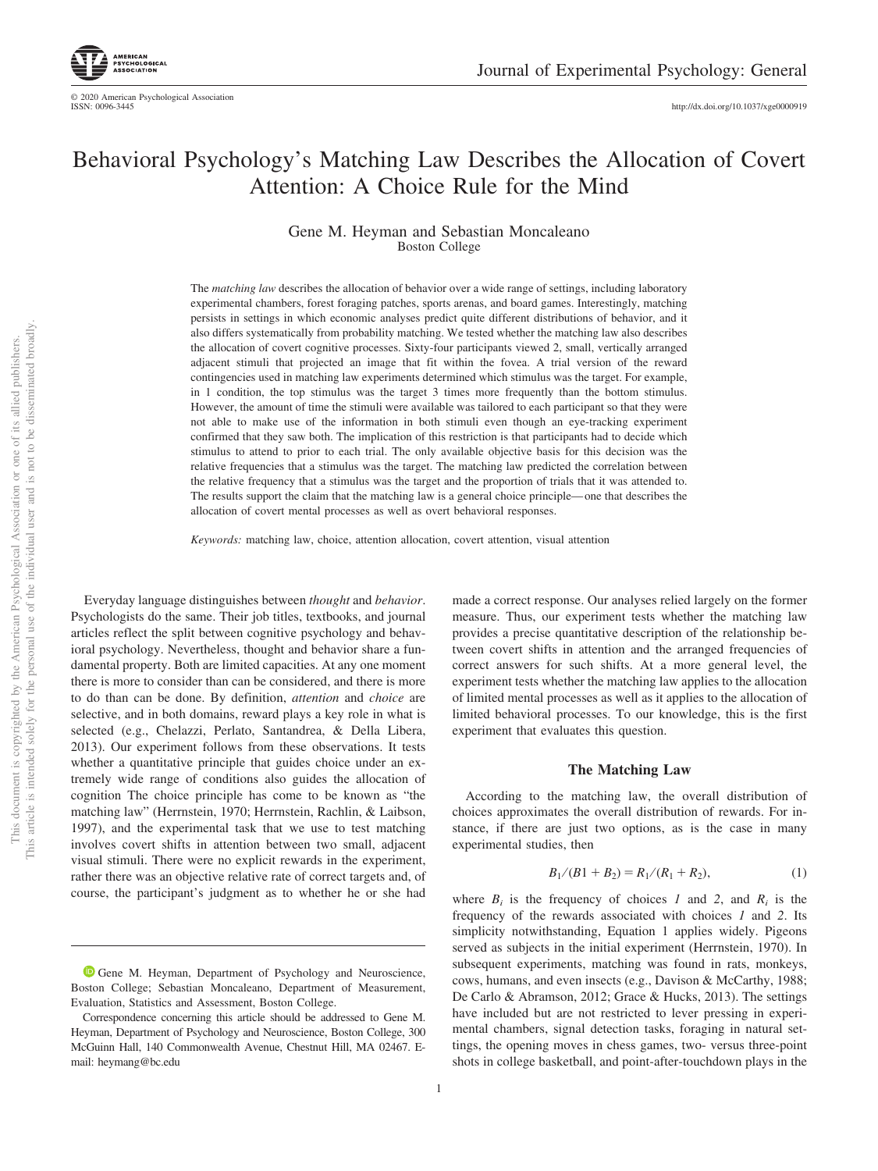

# Behavioral Psychology's Matching Law Describes the Allocation of Covert Attention: A Choice Rule for the Mind

Gene M. Heyman and Sebastian Moncaleano Boston College

The *matching law* describes the allocation of behavior over a wide range of settings, including laboratory experimental chambers, forest foraging patches, sports arenas, and board games. Interestingly, matching persists in settings in which economic analyses predict quite different distributions of behavior, and it also differs systematically from probability matching. We tested whether the matching law also describes the allocation of covert cognitive processes. Sixty-four participants viewed 2, small, vertically arranged adjacent stimuli that projected an image that fit within the fovea. A trial version of the reward contingencies used in matching law experiments determined which stimulus was the target. For example, in 1 condition, the top stimulus was the target 3 times more frequently than the bottom stimulus. However, the amount of time the stimuli were available was tailored to each participant so that they were not able to make use of the information in both stimuli even though an eye-tracking experiment confirmed that they saw both. The implication of this restriction is that participants had to decide which stimulus to attend to prior to each trial. The only available objective basis for this decision was the relative frequencies that a stimulus was the target. The matching law predicted the correlation between the relative frequency that a stimulus was the target and the proportion of trials that it was attended to. The results support the claim that the matching law is a general choice principle—one that describes the allocation of covert mental processes as well as overt behavioral responses.

*Keywords:* matching law, choice, attention allocation, covert attention, visual attention

Everyday language distinguishes between *thought* and *behavior*. Psychologists do the same. Their job titles, textbooks, and journal articles reflect the split between cognitive psychology and behavioral psychology. Nevertheless, thought and behavior share a fundamental property. Both are limited capacities. At any one moment there is more to consider than can be considered, and there is more to do than can be done. By definition, *attention* and *choice* are selective, and in both domains, reward plays a key role in what is selected (e.g., Chelazzi, Perlato, Santandrea, & Della Libera, 2013). Our experiment follows from these observations. It tests whether a quantitative principle that guides choice under an extremely wide range of conditions also guides the allocation of cognition The choice principle has come to be known as "the matching law" (Herrnstein, 1970; Herrnstein, Rachlin, & Laibson, 1997), and the experimental task that we use to test matching involves covert shifts in attention between two small, adjacent visual stimuli. There were no explicit rewards in the experiment, rather there was an objective relative rate of correct targets and, of course, the participant's judgment as to whether he or she had

made a correct response. Our analyses relied largely on the former measure. Thus, our experiment tests whether the matching law provides a precise quantitative description of the relationship between covert shifts in attention and the arranged frequencies of correct answers for such shifts. At a more general level, the experiment tests whether the matching law applies to the allocation of limited mental processes as well as it applies to the allocation of limited behavioral processes. To our knowledge, this is the first experiment that evaluates this question.

#### **The Matching Law**

According to the matching law, the overall distribution of choices approximates the overall distribution of rewards. For instance, if there are just two options, as is the case in many experimental studies, then

$$
B_1/(B1 + B_2) = R_1/(R_1 + R_2),\tag{1}
$$

<span id="page-0-0"></span>where  $B_i$  is the frequency of choices *1* and 2, and  $R_i$  is the frequency of the rewards associated with choices *1* and *2*. Its simplicity notwithstanding, [Equation 1](#page-0-0) applies widely. Pigeons served as subjects in the initial experiment (Herrnstein, 1970). In subsequent experiments, matching was found in rats, monkeys, cows, humans, and even insects (e.g., Davison & McCarthy, 1988; De Carlo & Abramson, 2012; Grace & Hucks, 2013). The settings have included but are not restricted to lever pressing in experimental chambers, signal detection tasks, foraging in natural settings, the opening moves in chess games, two- versus three-point shots in college basketball, and point-after-touchdown plays in the

<sup>&</sup>lt;sup>1</sup> [Gene M. Heyman,](https://orcid.org/0000-0003-4484-0370) Department of Psychology and Neuroscience, Boston College; Sebastian Moncaleano, Department of Measurement, Evaluation, Statistics and Assessment, Boston College.

Correspondence concerning this article should be addressed to Gene M. Heyman, Department of Psychology and Neuroscience, Boston College, 300 McGuinn Hall, 140 Commonwealth Avenue, Chestnut Hill, MA 02467. Email: [heymang@bc.edu](mailto:heymang@bc.edu)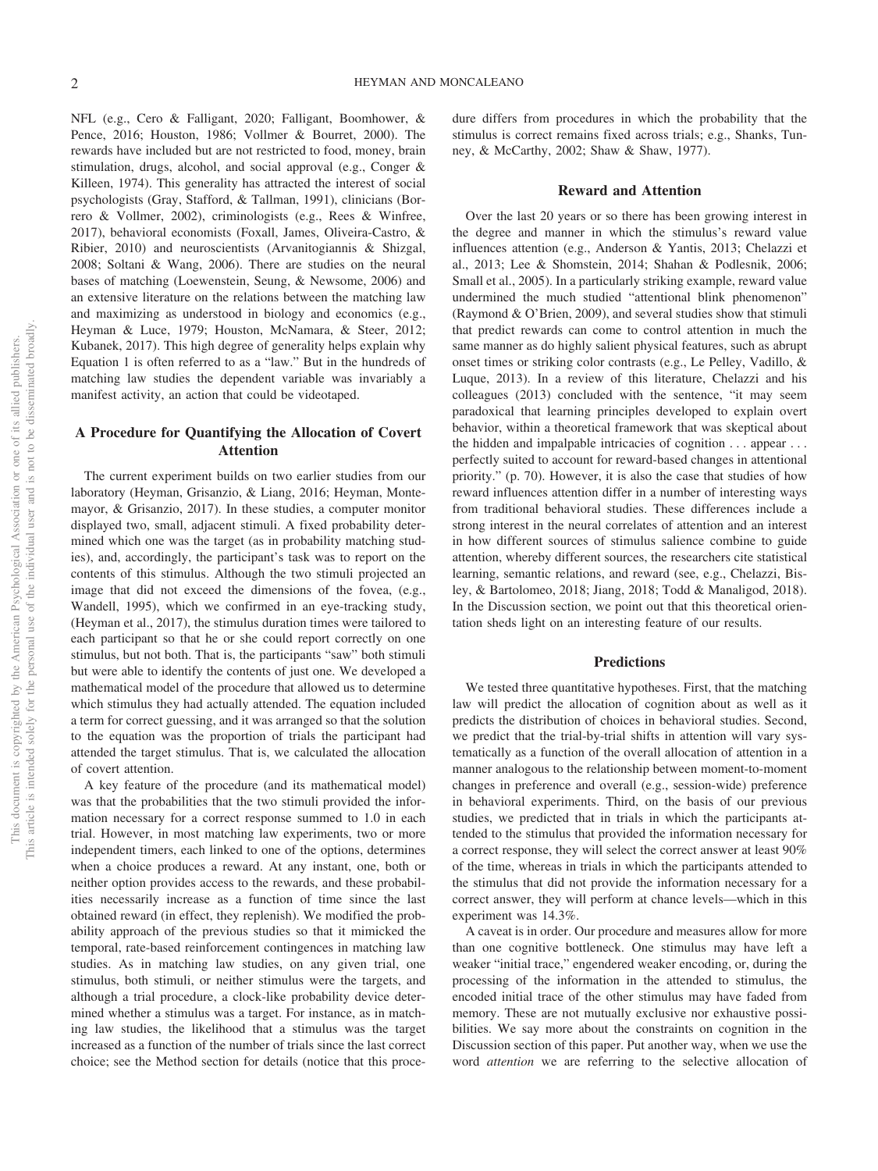NFL (e.g., Cero & Falligant, 2020; Falligant, Boomhower, & Pence, 2016; Houston, 1986; Vollmer & Bourret, 2000). The rewards have included but are not restricted to food, money, brain stimulation, drugs, alcohol, and social approval (e.g., Conger & Killeen, 1974). This generality has attracted the interest of social psychologists (Gray, Stafford, & Tallman, 1991), clinicians (Borrero & Vollmer, 2002), criminologists (e.g., Rees & Winfree, 2017), behavioral economists (Foxall, James, Oliveira-Castro, & Ribier, 2010) and neuroscientists (Arvanitogiannis & Shizgal, 2008; Soltani & Wang, 2006). There are studies on the neural bases of matching (Loewenstein, Seung, & Newsome, 2006) and an extensive literature on the relations between the matching law and maximizing as understood in biology and economics (e.g., Heyman & Luce, 1979; Houston, McNamara, & Steer, 2012; Kubanek, 2017). This high degree of generality helps explain why [Equation 1](#page-0-0) is often referred to as a "law." But in the hundreds of matching law studies the dependent variable was invariably a manifest activity, an action that could be videotaped.

# **A Procedure for Quantifying the Allocation of Covert Attention**

The current experiment builds on two earlier studies from our laboratory (Heyman, Grisanzio, & Liang, 2016; Heyman, Montemayor, & Grisanzio, 2017). In these studies, a computer monitor displayed two, small, adjacent stimuli. A fixed probability determined which one was the target (as in probability matching studies), and, accordingly, the participant's task was to report on the contents of this stimulus. Although the two stimuli projected an image that did not exceed the dimensions of the fovea, (e.g., Wandell, 1995), which we confirmed in an eye-tracking study, (Heyman et al., 2017), the stimulus duration times were tailored to each participant so that he or she could report correctly on one stimulus, but not both. That is, the participants "saw" both stimuli but were able to identify the contents of just one. We developed a mathematical model of the procedure that allowed us to determine which stimulus they had actually attended. The equation included a term for correct guessing, and it was arranged so that the solution to the equation was the proportion of trials the participant had attended the target stimulus. That is, we calculated the allocation of covert attention.

A key feature of the procedure (and its mathematical model) was that the probabilities that the two stimuli provided the information necessary for a correct response summed to 1.0 in each trial. However, in most matching law experiments, two or more independent timers, each linked to one of the options, determines when a choice produces a reward. At any instant, one, both or neither option provides access to the rewards, and these probabilities necessarily increase as a function of time since the last obtained reward (in effect, they replenish). We modified the probability approach of the previous studies so that it mimicked the temporal, rate-based reinforcement contingences in matching law studies. As in matching law studies, on any given trial, one stimulus, both stimuli, or neither stimulus were the targets, and although a trial procedure, a clock-like probability device determined whether a stimulus was a target. For instance, as in matching law studies, the likelihood that a stimulus was the target increased as a function of the number of trials since the last correct choice; see the Method section for details (notice that this procedure differs from procedures in which the probability that the stimulus is correct remains fixed across trials; e.g., Shanks, Tunney, & McCarthy, 2002; Shaw & Shaw, 1977).

#### **Reward and Attention**

Over the last 20 years or so there has been growing interest in the degree and manner in which the stimulus's reward value influences attention (e.g., Anderson & Yantis, 2013; Chelazzi et al., 2013; Lee & Shomstein, 2014; Shahan & Podlesnik, 2006; Small et al., 2005). In a particularly striking example, reward value undermined the much studied "attentional blink phenomenon" (Raymond & O'Brien, 2009), and several studies show that stimuli that predict rewards can come to control attention in much the same manner as do highly salient physical features, such as abrupt onset times or striking color contrasts (e.g., Le Pelley, Vadillo, & Luque, 2013). In a review of this literature, Chelazzi and his colleagues (2013) concluded with the sentence, "it may seem paradoxical that learning principles developed to explain overt behavior, within a theoretical framework that was skeptical about the hidden and impalpable intricacies of cognition . . . appear . . . perfectly suited to account for reward-based changes in attentional priority." (p. 70). However, it is also the case that studies of how reward influences attention differ in a number of interesting ways from traditional behavioral studies. These differences include a strong interest in the neural correlates of attention and an interest in how different sources of stimulus salience combine to guide attention, whereby different sources, the researchers cite statistical learning, semantic relations, and reward (see, e.g., [Chelazzi, Bis](#page-9-0)[ley, & Bartolomeo, 2018;](#page-9-0) Jiang, 2018; Todd & Manaligod, 2018). In the Discussion section, we point out that this theoretical orientation sheds light on an interesting feature of our results.

# **Predictions**

We tested three quantitative hypotheses. First, that the matching law will predict the allocation of cognition about as well as it predicts the distribution of choices in behavioral studies. Second, we predict that the trial-by-trial shifts in attention will vary systematically as a function of the overall allocation of attention in a manner analogous to the relationship between moment-to-moment changes in preference and overall (e.g., session-wide) preference in behavioral experiments. Third, on the basis of our previous studies, we predicted that in trials in which the participants attended to the stimulus that provided the information necessary for a correct response, they will select the correct answer at least 90% of the time, whereas in trials in which the participants attended to the stimulus that did not provide the information necessary for a correct answer, they will perform at chance levels—which in this experiment was 14.3%.

A caveat is in order. Our procedure and measures allow for more than one cognitive bottleneck. One stimulus may have left a weaker "initial trace," engendered weaker encoding, or, during the processing of the information in the attended to stimulus, the encoded initial trace of the other stimulus may have faded from memory. These are not mutually exclusive nor exhaustive possibilities. We say more about the constraints on cognition in the Discussion section of this paper. Put another way, when we use the word *attention* we are referring to the selective allocation of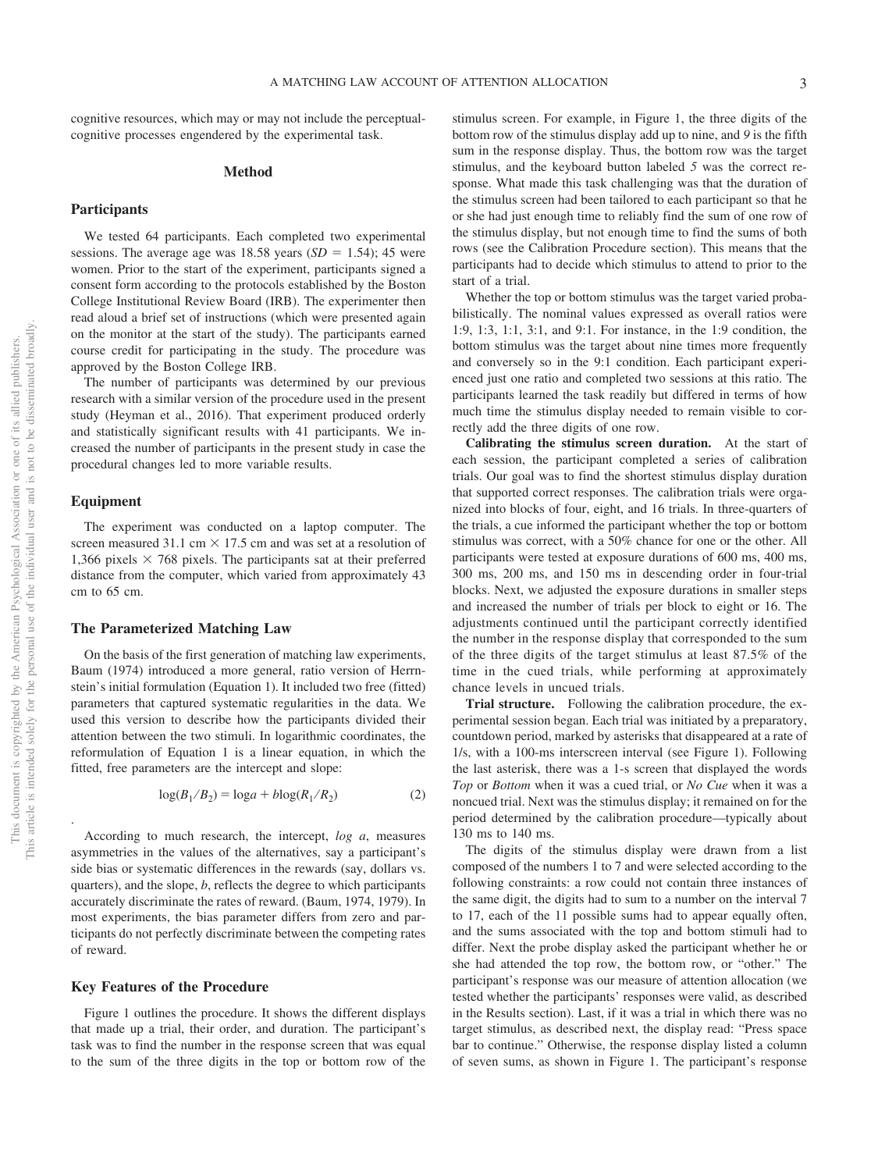cognitive resources, which may or may not include the perceptualcognitive processes engendered by the experimental task.

#### **Method**

## **Participants**

We tested 64 participants. Each completed two experimental sessions. The average age was  $18.58$  years  $(SD = 1.54)$ ; 45 were women. Prior to the start of the experiment, participants signed a consent form according to the protocols established by the Boston College Institutional Review Board (IRB). The experimenter then read aloud a brief set of instructions (which were presented again on the monitor at the start of the study). The participants earned course credit for participating in the study. The procedure was approved by the Boston College IRB.

The number of participants was determined by our previous research with a similar version of the procedure used in the present study (Heyman et al., 2016). That experiment produced orderly and statistically significant results with 41 participants. We increased the number of participants in the present study in case the procedural changes led to more variable results.

# **Equipment**

The experiment was conducted on a laptop computer. The screen measured 31.1 cm  $\times$  17.5 cm and was set at a resolution of 1,366 pixels  $\times$  768 pixels. The participants sat at their preferred distance from the computer, which varied from approximately 43 cm to 65 cm.

# **The Parameterized Matching Law**

On the basis of the first generation of matching law experiments, Baum (1974) introduced a more general, ratio version of Herrnstein's initial formulation [\(Equation 1\)](#page-0-0). It included two free (fitted) parameters that captured systematic regularities in the data. We used this version to describe how the participants divided their attention between the two stimuli. In logarithmic coordinates, the reformulation of [Equation 1](#page-0-0) is a linear equation, in which the fitted, free parameters are the intercept and slope:

$$
\log(B_1/B_2) = \log a + b \log(R_1/R_2)
$$
 (2)

According to much research, the intercept, *log a*, measures asymmetries in the values of the alternatives, say a participant's side bias or systematic differences in the rewards (say, dollars vs. quarters), and the slope, *b*, reflects the degree to which participants accurately discriminate the rates of reward. (Baum, 1974, 1979). In most experiments, the bias parameter differs from zero and participants do not perfectly discriminate between the competing rates of reward.

#### **Key Features of the Procedure**

Figure 1 outlines the procedure. It shows the different displays that made up a trial, their order, and duration. The participant's task was to find the number in the response screen that was equal to the sum of the three digits in the top or bottom row of the stimulus screen. For example, in Figure 1, the three digits of the bottom row of the stimulus display add up to nine, and *9* is the fifth sum in the response display. Thus, the bottom row was the target stimulus, and the keyboard button labeled *5* was the correct response. What made this task challenging was that the duration of the stimulus screen had been tailored to each participant so that he or she had just enough time to reliably find the sum of one row of the stimulus display, but not enough time to find the sums of both rows (see the Calibration Procedure section). This means that the participants had to decide which stimulus to attend to prior to the start of a trial.

Whether the top or bottom stimulus was the target varied probabilistically. The nominal values expressed as overall ratios were 1:9, 1:3, 1:1, 3:1, and 9:1. For instance, in the 1:9 condition, the bottom stimulus was the target about nine times more frequently and conversely so in the 9:1 condition. Each participant experienced just one ratio and completed two sessions at this ratio. The participants learned the task readily but differed in terms of how much time the stimulus display needed to remain visible to correctly add the three digits of one row.

**Calibrating the stimulus screen duration.** At the start of each session, the participant completed a series of calibration trials. Our goal was to find the shortest stimulus display duration that supported correct responses. The calibration trials were organized into blocks of four, eight, and 16 trials. In three-quarters of the trials, a cue informed the participant whether the top or bottom stimulus was correct, with a 50% chance for one or the other. All participants were tested at exposure durations of 600 ms, 400 ms, 300 ms, 200 ms, and 150 ms in descending order in four-trial blocks. Next, we adjusted the exposure durations in smaller steps and increased the number of trials per block to eight or 16. The adjustments continued until the participant correctly identified the number in the response display that corresponded to the sum of the three digits of the target stimulus at least 87.5% of the time in the cued trials, while performing at approximately chance levels in uncued trials.

**Trial structure.** Following the calibration procedure, the experimental session began. Each trial was initiated by a preparatory, countdown period, marked by asterisks that disappeared at a rate of 1/s, with a 100-ms interscreen interval (see Figure 1). Following the last asterisk, there was a 1-s screen that displayed the words *Top* or *Bottom* when it was a cued trial, or *No Cue* when it was a noncued trial. Next was the stimulus display; it remained on for the period determined by the calibration procedure—typically about 130 ms to 140 ms.

The digits of the stimulus display were drawn from a list composed of the numbers 1 to 7 and were selected according to the following constraints: a row could not contain three instances of the same digit, the digits had to sum to a number on the interval 7 to 17, each of the 11 possible sums had to appear equally often, and the sums associated with the top and bottom stimuli had to differ. Next the probe display asked the participant whether he or she had attended the top row, the bottom row, or "other." The participant's response was our measure of attention allocation (we tested whether the participants' responses were valid, as described in the Results section). Last, if it was a trial in which there was no target stimulus, as described next, the display read: "Press space bar to continue." Otherwise, the response display listed a column of seven sums, as shown in Figure 1. The participant's response

<span id="page-2-0"></span>.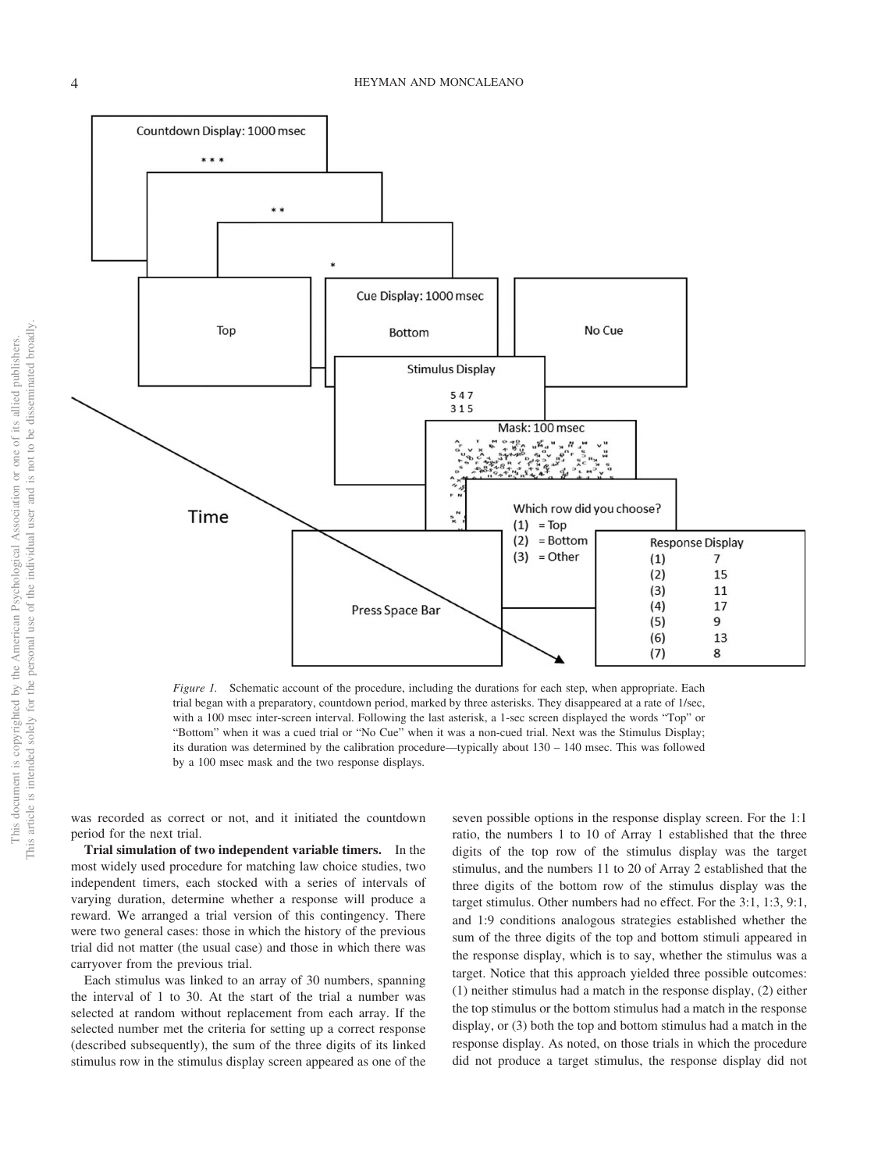

*Figure 1.* Schematic account of the procedure, including the durations for each step, when appropriate. Each trial began with a preparatory, countdown period, marked by three asterisks. They disappeared at a rate of 1/sec, with a 100 msec inter-screen interval. Following the last asterisk, a 1-sec screen displayed the words "Top" or "Bottom" when it was a cued trial or "No Cue" when it was a non-cued trial. Next was the Stimulus Display; its duration was determined by the calibration procedure—typically about 130 – 140 msec. This was followed by a 100 msec mask and the two response displays.

was recorded as correct or not, and it initiated the countdown period for the next trial.

**Trial simulation of two independent variable timers.** In the most widely used procedure for matching law choice studies, two independent timers, each stocked with a series of intervals of varying duration, determine whether a response will produce a reward. We arranged a trial version of this contingency. There were two general cases: those in which the history of the previous trial did not matter (the usual case) and those in which there was carryover from the previous trial.

Each stimulus was linked to an array of 30 numbers, spanning the interval of 1 to 30. At the start of the trial a number was selected at random without replacement from each array. If the selected number met the criteria for setting up a correct response (described subsequently), the sum of the three digits of its linked stimulus row in the stimulus display screen appeared as one of the seven possible options in the response display screen. For the 1:1 ratio, the numbers 1 to 10 of Array 1 established that the three digits of the top row of the stimulus display was the target stimulus, and the numbers 11 to 20 of Array 2 established that the three digits of the bottom row of the stimulus display was the target stimulus. Other numbers had no effect. For the 3:1, 1:3, 9:1, and 1:9 conditions analogous strategies established whether the sum of the three digits of the top and bottom stimuli appeared in the response display, which is to say, whether the stimulus was a target. Notice that this approach yielded three possible outcomes: (1) neither stimulus had a match in the response display, (2) either the top stimulus or the bottom stimulus had a match in the response display, or (3) both the top and bottom stimulus had a match in the response display. As noted, on those trials in which the procedure did not produce a target stimulus, the response display did not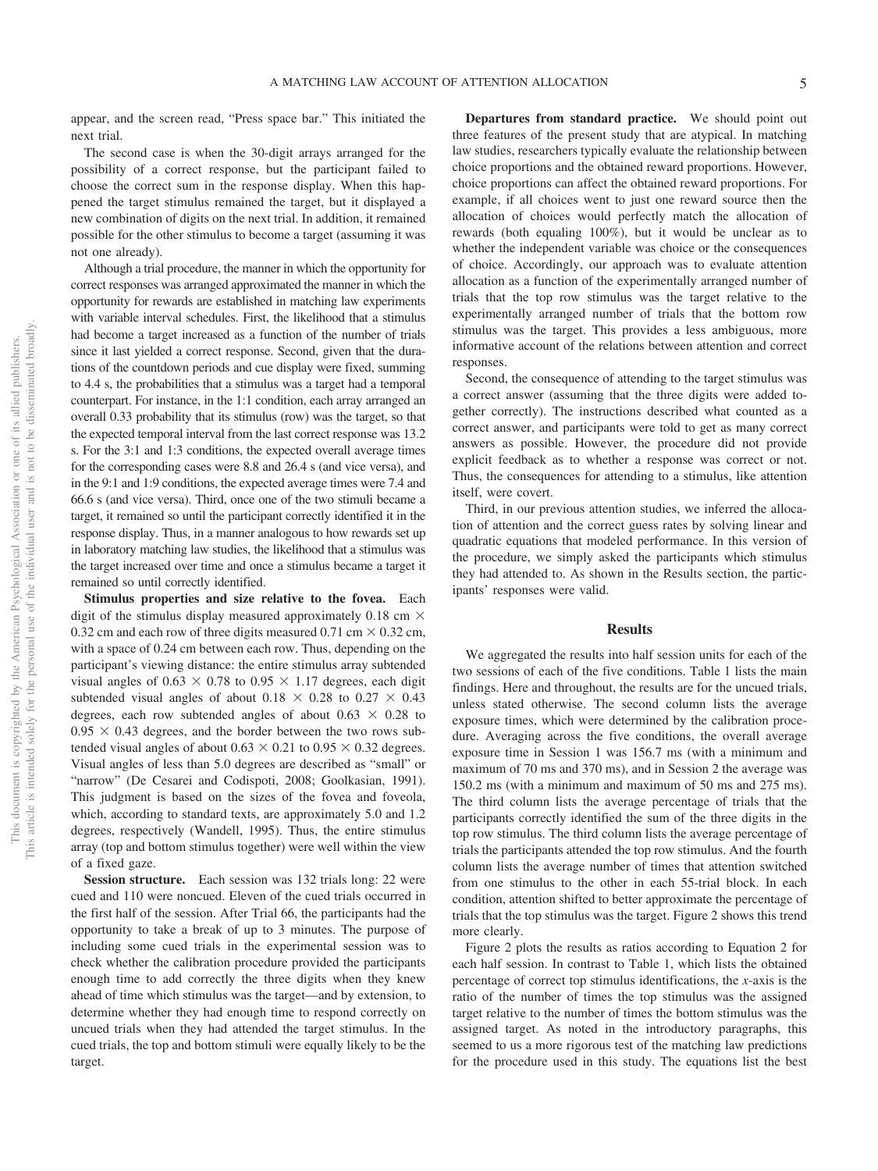appear, and the screen read, "Press space bar." This initiated the next trial.

The second case is when the 30-digit arrays arranged for the possibility of a correct response, but the participant failed to choose the correct sum in the response display. When this happened the target stimulus remained the target, but it displayed a new combination of digits on the next trial. In addition, it remained possible for the other stimulus to become a target (assuming it was not one already).

Although a trial procedure, the manner in which the opportunity for correct responses was arranged approximated the manner in which the opportunity for rewards are established in matching law experiments with variable interval schedules. First, the likelihood that a stimulus had become a target increased as a function of the number of trials since it last yielded a correct response. Second, given that the durations of the countdown periods and cue display were fixed, summing to 4.4 s, the probabilities that a stimulus was a target had a temporal counterpart. For instance, in the 1:1 condition, each array arranged an overall 0.33 probability that its stimulus (row) was the target, so that the expected temporal interval from the last correct response was 13.2 s. For the 3:1 and 1:3 conditions, the expected overall average times for the corresponding cases were 8.8 and 26.4 s (and vice versa), and in the 9:1 and 1:9 conditions, the expected average times were 7.4 and 66.6 s (and vice versa). Third, once one of the two stimuli became a target, it remained so until the participant correctly identified it in the response display. Thus, in a manner analogous to how rewards set up in laboratory matching law studies, the likelihood that a stimulus was the target increased over time and once a stimulus became a target it remained so until correctly identified.

**Stimulus properties and size relative to the fovea.** Each digit of the stimulus display measured approximately 0.18 cm  $\times$ 0.32 cm and each row of three digits measured 0.71 cm  $\times$  0.32 cm, with a space of 0.24 cm between each row. Thus, depending on the participant's viewing distance: the entire stimulus array subtended visual angles of  $0.63 \times 0.78$  to  $0.95 \times 1.17$  degrees, each digit subtended visual angles of about  $0.18 \times 0.28$  to  $0.27 \times 0.43$ degrees, each row subtended angles of about  $0.63 \times 0.28$  to  $0.95 \times 0.43$  degrees, and the border between the two rows subtended visual angles of about  $0.63 \times 0.21$  to  $0.95 \times 0.32$  degrees. Visual angles of less than 5.0 degrees are described as "small" or "narrow" (De Cesarei and Codispoti, 2008; Goolkasian, 1991). This judgment is based on the sizes of the fovea and foveola, which, according to standard texts, are approximately 5.0 and 1.2 degrees, respectively (Wandell, 1995). Thus, the entire stimulus array (top and bottom stimulus together) were well within the view of a fixed gaze.

**Session structure.** Each session was 132 trials long: 22 were cued and 110 were noncued. Eleven of the cued trials occurred in the first half of the session. After Trial 66, the participants had the opportunity to take a break of up to 3 minutes. The purpose of including some cued trials in the experimental session was to check whether the calibration procedure provided the participants enough time to add correctly the three digits when they knew ahead of time which stimulus was the target—and by extension, to determine whether they had enough time to respond correctly on uncued trials when they had attended the target stimulus. In the cued trials, the top and bottom stimuli were equally likely to be the target.

**Departures from standard practice.** We should point out three features of the present study that are atypical. In matching law studies, researchers typically evaluate the relationship between choice proportions and the obtained reward proportions. However, choice proportions can affect the obtained reward proportions. For example, if all choices went to just one reward source then the allocation of choices would perfectly match the allocation of rewards (both equaling 100%), but it would be unclear as to whether the independent variable was choice or the consequences of choice. Accordingly, our approach was to evaluate attention allocation as a function of the experimentally arranged number of trials that the top row stimulus was the target relative to the experimentally arranged number of trials that the bottom row stimulus was the target. This provides a less ambiguous, more informative account of the relations between attention and correct responses.

Second, the consequence of attending to the target stimulus was a correct answer (assuming that the three digits were added together correctly). The instructions described what counted as a correct answer, and participants were told to get as many correct answers as possible. However, the procedure did not provide explicit feedback as to whether a response was correct or not. Thus, the consequences for attending to a stimulus, like attention itself, were covert.

Third, in our previous attention studies, we inferred the allocation of attention and the correct guess rates by solving linear and quadratic equations that modeled performance. In this version of the procedure, we simply asked the participants which stimulus they had attended to. As shown in the Results section, the participants' responses were valid.

## **Results**

We aggregated the results into half session units for each of the two sessions of each of the five conditions. Table 1 lists the main findings. Here and throughout, the results are for the uncued trials, unless stated otherwise. The second column lists the average exposure times, which were determined by the calibration procedure. Averaging across the five conditions, the overall average exposure time in Session 1 was 156.7 ms (with a minimum and maximum of 70 ms and 370 ms), and in Session 2 the average was 150.2 ms (with a minimum and maximum of 50 ms and 275 ms). The third column lists the average percentage of trials that the participants correctly identified the sum of the three digits in the top row stimulus. The third column lists the average percentage of trials the participants attended the top row stimulus. And the fourth column lists the average number of times that attention switched from one stimulus to the other in each 55-trial block. In each condition, attention shifted to better approximate the percentage of trials that the top stimulus was the target. Figure 2 shows this trend more clearly.

Figure 2 plots the results as ratios according to [Equation 2](#page-2-0) for each half session. In contrast to Table 1, which lists the obtained percentage of correct top stimulus identifications, the *x*-axis is the ratio of the number of times the top stimulus was the assigned target relative to the number of times the bottom stimulus was the assigned target. As noted in the introductory paragraphs, this seemed to us a more rigorous test of the matching law predictions for the procedure used in this study. The equations list the best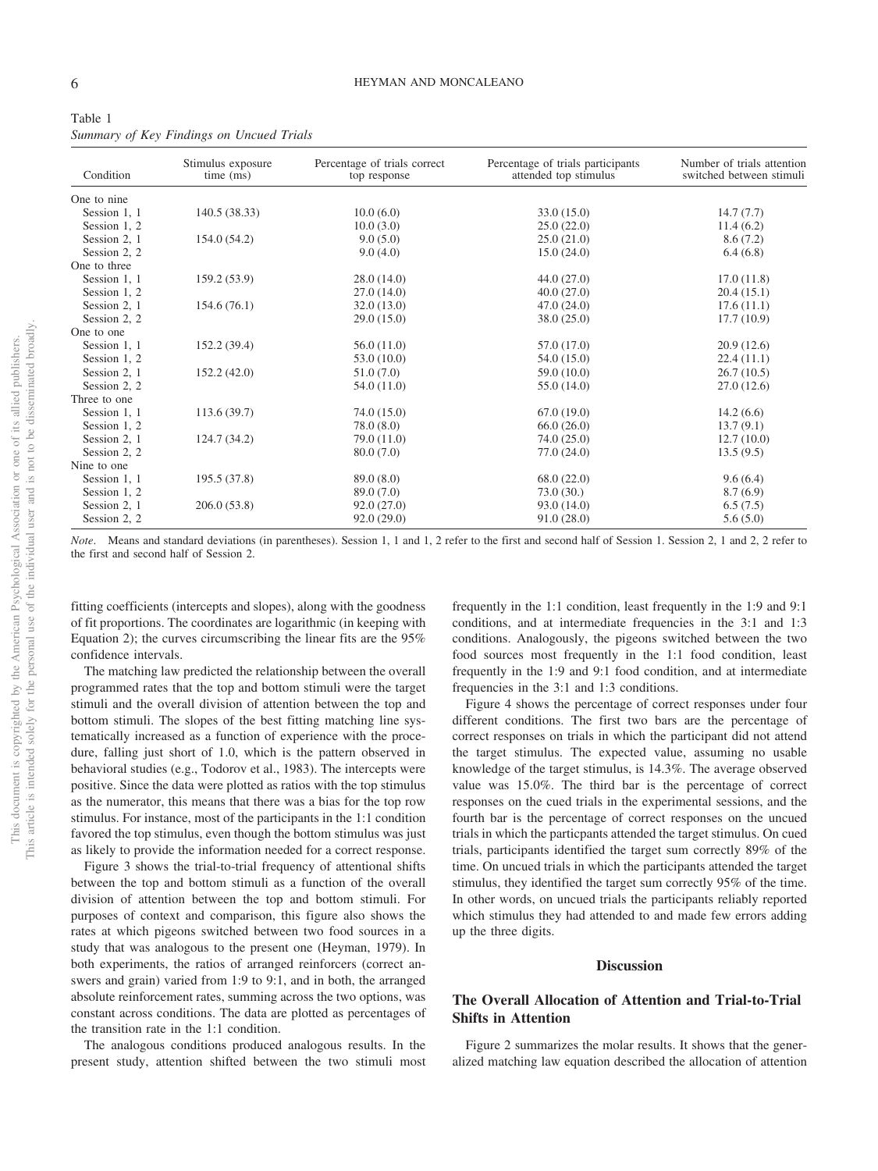| Condition    | Stimulus exposure<br>time (ms) | Percentage of trials correct<br>top response | Percentage of trials participants<br>attended top stimulus | Number of trials attention<br>switched between stimuli |
|--------------|--------------------------------|----------------------------------------------|------------------------------------------------------------|--------------------------------------------------------|
| One to nine  |                                |                                              |                                                            |                                                        |
| Session 1, 1 | 140.5 (38.33)                  | 10.0(6.0)                                    | 33.0(15.0)                                                 | 14.7(7.7)                                              |
| Session 1, 2 |                                | 10.0(3.0)                                    | 25.0(22.0)                                                 | 11.4(6.2)                                              |
| Session 2, 1 | 154.0 (54.2)                   | 9.0(5.0)                                     | 25.0(21.0)                                                 | 8.6(7.2)                                               |
| Session 2, 2 |                                | 9.0(4.0)                                     | 15.0(24.0)                                                 | 6.4(6.8)                                               |
| One to three |                                |                                              |                                                            |                                                        |
| Session 1, 1 | 159.2 (53.9)                   | 28.0(14.0)                                   | 44.0(27.0)                                                 | 17.0(11.8)                                             |
| Session 1, 2 |                                | 27.0(14.0)                                   | 40.0(27.0)                                                 | 20.4(15.1)                                             |
| Session 2, 1 | 154.6(76.1)                    | 32.0(13.0)                                   | 47.0(24.0)                                                 | 17.6(11.1)                                             |
| Session 2, 2 |                                | 29.0(15.0)                                   | 38.0 (25.0)                                                | 17.7(10.9)                                             |
| One to one   |                                |                                              |                                                            |                                                        |
| Session 1, 1 | 152.2 (39.4)                   | 56.0(11.0)                                   | 57.0 (17.0)                                                | 20.9(12.6)                                             |
| Session 1, 2 |                                | 53.0(10.0)                                   | 54.0 (15.0)                                                | 22.4(11.1)                                             |
| Session 2, 1 | 152.2(42.0)                    | 51.0(7.0)                                    | 59.0 (10.0)                                                | 26.7(10.5)                                             |
| Session 2, 2 |                                | 54.0 (11.0)                                  | 55.0 (14.0)                                                | 27.0(12.6)                                             |
| Three to one |                                |                                              |                                                            |                                                        |
| Session 1, 1 | 113.6(39.7)                    | 74.0 (15.0)                                  | 67.0(19.0)                                                 | 14.2(6.6)                                              |
| Session 1, 2 |                                | 78.0(8.0)                                    | 66.0(26.0)                                                 | 13.7(9.1)                                              |
| Session 2, 1 | 124.7 (34.2)                   | 79.0 (11.0)                                  | 74.0(25.0)                                                 | 12.7(10.0)                                             |
| Session 2, 2 |                                | 80.0(7.0)                                    | 77.0 (24.0)                                                | 13.5(9.5)                                              |
| Nine to one  |                                |                                              |                                                            |                                                        |
| Session 1, 1 | 195.5 (37.8)                   | 89.0 (8.0)                                   | 68.0(22.0)                                                 | 9.6(6.4)                                               |
| Session 1, 2 |                                | 89.0 (7.0)                                   | 73.0(30.)                                                  | 8.7(6.9)                                               |
| Session 2, 1 | 206.0(53.8)                    | 92.0(27.0)                                   | 93.0 (14.0)                                                | 6.5(7.5)                                               |
| Session 2, 2 |                                | 92.0(29.0)                                   | 91.0(28.0)                                                 | 5.6(5.0)                                               |

| Table 1                                  |  |  |  |
|------------------------------------------|--|--|--|
| Summary of Key Findings on Uncued Trials |  |  |  |

*Note*. Means and standard deviations (in parentheses). Session 1, 1 and 1, 2 refer to the first and second half of Session 1, Session 2, 1 and 2, 2 refer to the first and second half of Session 2.

fitting coefficients (intercepts and slopes), along with the goodness of fit proportions. The coordinates are logarithmic (in keeping with [Equation 2\)](#page-2-0); the curves circumscribing the linear fits are the 95% confidence intervals.

The matching law predicted the relationship between the overall programmed rates that the top and bottom stimuli were the target stimuli and the overall division of attention between the top and bottom stimuli. The slopes of the best fitting matching line systematically increased as a function of experience with the procedure, falling just short of 1.0, which is the pattern observed in behavioral studies (e.g., Todorov et al., 1983). The intercepts were positive. Since the data were plotted as ratios with the top stimulus as the numerator, this means that there was a bias for the top row stimulus. For instance, most of the participants in the 1:1 condition favored the top stimulus, even though the bottom stimulus was just as likely to provide the information needed for a correct response.

Figure 3 shows the trial-to-trial frequency of attentional shifts between the top and bottom stimuli as a function of the overall division of attention between the top and bottom stimuli. For purposes of context and comparison, this figure also shows the rates at which pigeons switched between two food sources in a study that was analogous to the present one (Heyman, 1979). In both experiments, the ratios of arranged reinforcers (correct answers and grain) varied from 1:9 to 9:1, and in both, the arranged absolute reinforcement rates, summing across the two options, was constant across conditions. The data are plotted as percentages of the transition rate in the 1:1 condition.

The analogous conditions produced analogous results. In the present study, attention shifted between the two stimuli most

frequently in the 1:1 condition, least frequently in the 1:9 and 9:1 conditions, and at intermediate frequencies in the 3:1 and 1:3 conditions. Analogously, the pigeons switched between the two food sources most frequently in the 1:1 food condition, least frequently in the 1:9 and 9:1 food condition, and at intermediate frequencies in the 3:1 and 1:3 conditions.

Figure 4 shows the percentage of correct responses under four different conditions. The first two bars are the percentage of correct responses on trials in which the participant did not attend the target stimulus. The expected value, assuming no usable knowledge of the target stimulus, is 14.3%. The average observed value was 15.0%. The third bar is the percentage of correct responses on the cued trials in the experimental sessions, and the fourth bar is the percentage of correct responses on the uncued trials in which the particpants attended the target stimulus. On cued trials, participants identified the target sum correctly 89% of the time. On uncued trials in which the participants attended the target stimulus, they identified the target sum correctly 95% of the time. In other words, on uncued trials the participants reliably reported which stimulus they had attended to and made few errors adding up the three digits.

#### **Discussion**

# **The Overall Allocation of Attention and Trial-to-Trial Shifts in Attention**

Figure 2 summarizes the molar results. It shows that the generalized matching law equation described the allocation of attention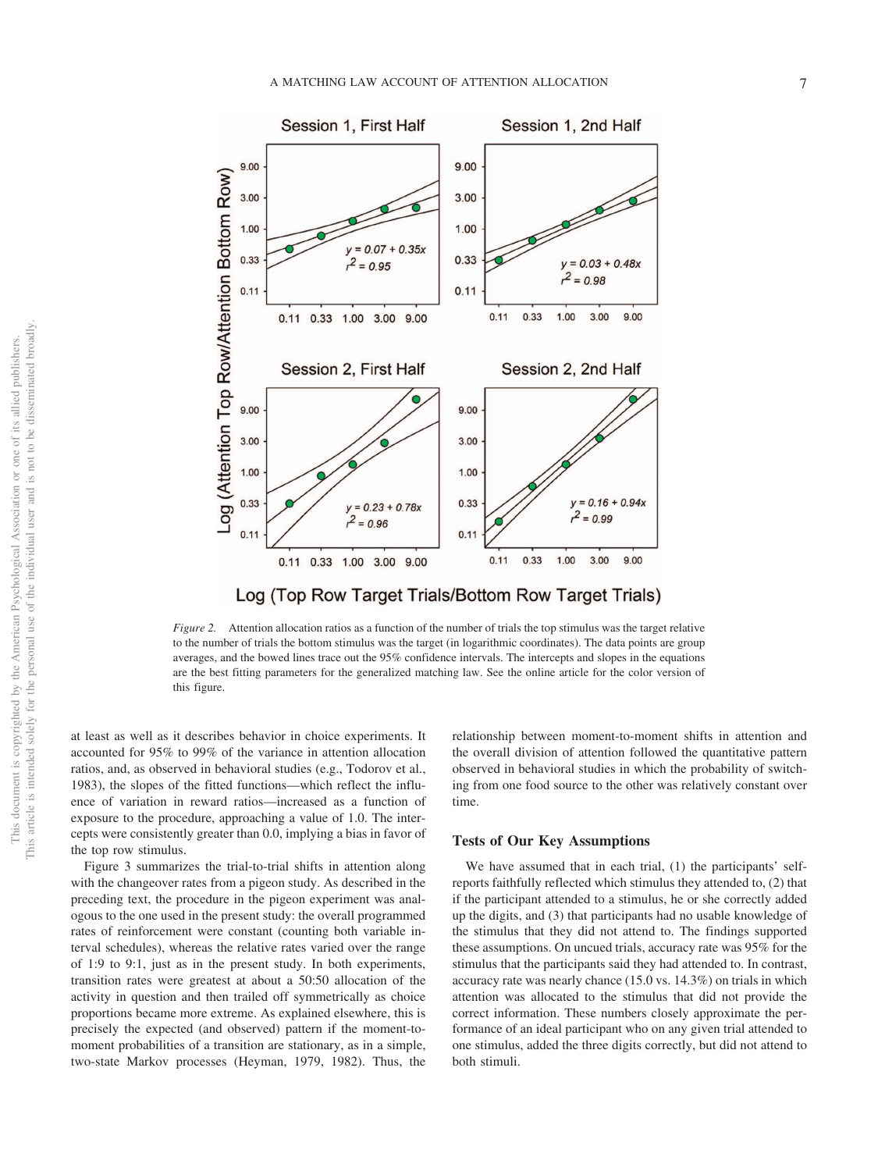

Log (Top Row Target Trials/Bottom Row Target Trials)

*Figure 2.* Attention allocation ratios as a function of the number of trials the top stimulus was the target relative to the number of trials the bottom stimulus was the target (in logarithmic coordinates). The data points are group averages, and the bowed lines trace out the 95% confidence intervals. The intercepts and slopes in the equations are the best fitting parameters for the generalized matching law. See the online article for the color version of this figure.

at least as well as it describes behavior in choice experiments. It accounted for 95% to 99% of the variance in attention allocation ratios, and, as observed in behavioral studies (e.g., Todorov et al., 1983), the slopes of the fitted functions—which reflect the influence of variation in reward ratios—increased as a function of exposure to the procedure, approaching a value of 1.0. The intercepts were consistently greater than 0.0, implying a bias in favor of the top row stimulus.

Figure 3 summarizes the trial-to-trial shifts in attention along with the changeover rates from a pigeon study. As described in the preceding text, the procedure in the pigeon experiment was analogous to the one used in the present study: the overall programmed rates of reinforcement were constant (counting both variable interval schedules), whereas the relative rates varied over the range of 1:9 to 9:1, just as in the present study. In both experiments, transition rates were greatest at about a 50:50 allocation of the activity in question and then trailed off symmetrically as choice proportions became more extreme. As explained elsewhere, this is precisely the expected (and observed) pattern if the moment-tomoment probabilities of a transition are stationary, as in a simple, two-state Markov processes (Heyman, 1979, 1982). Thus, the relationship between moment-to-moment shifts in attention and the overall division of attention followed the quantitative pattern observed in behavioral studies in which the probability of switching from one food source to the other was relatively constant over time.

#### **Tests of Our Key Assumptions**

We have assumed that in each trial, (1) the participants' selfreports faithfully reflected which stimulus they attended to, (2) that if the participant attended to a stimulus, he or she correctly added up the digits, and (3) that participants had no usable knowledge of the stimulus that they did not attend to. The findings supported these assumptions. On uncued trials, accuracy rate was 95% for the stimulus that the participants said they had attended to. In contrast, accuracy rate was nearly chance (15.0 vs. 14.3%) on trials in which attention was allocated to the stimulus that did not provide the correct information. These numbers closely approximate the performance of an ideal participant who on any given trial attended to one stimulus, added the three digits correctly, but did not attend to both stimuli.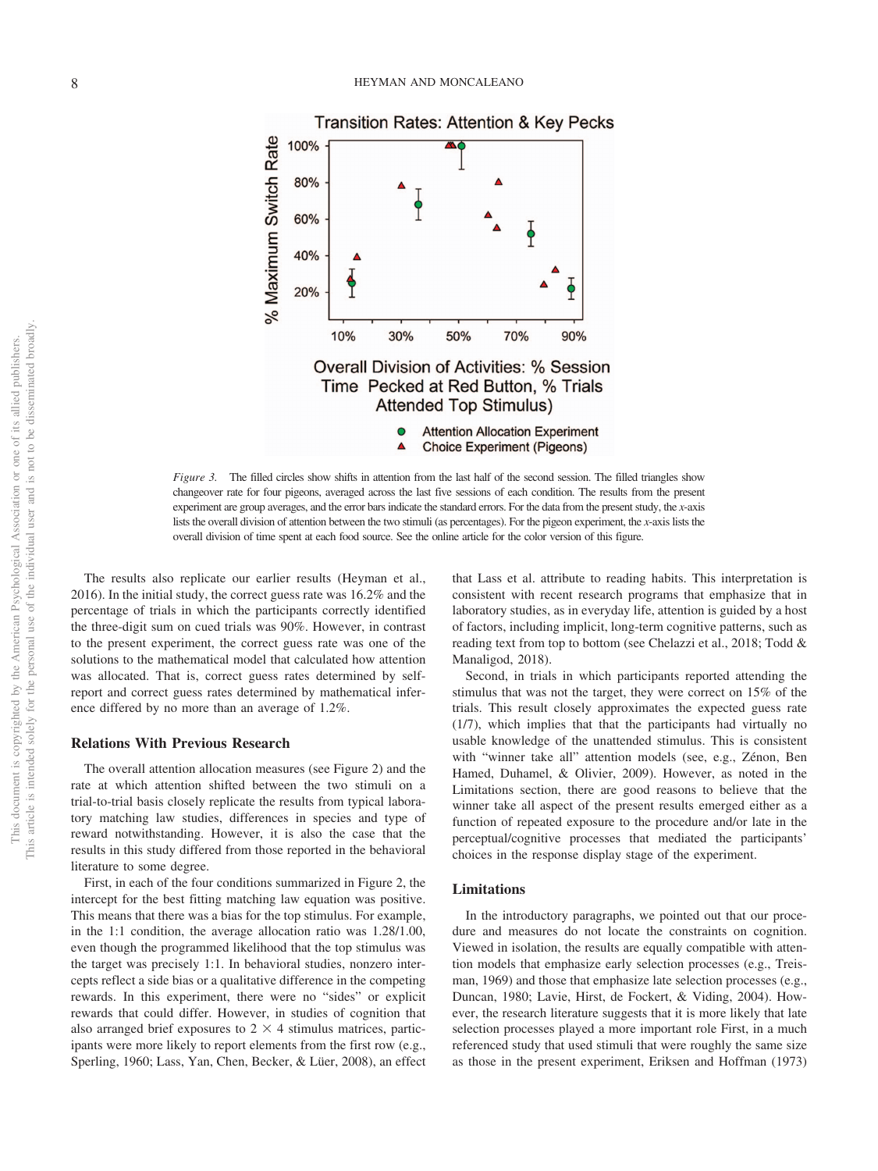

*Figure 3.* The filled circles show shifts in attention from the last half of the second session. The filled triangles show changeover rate for four pigeons, averaged across the last five sessions of each condition. The results from the present experiment are group averages, and the error bars indicate the standard errors. For the data from the present study, the *x*-axis lists the overall division of attention between the two stimuli (as percentages). For the pigeon experiment, the *x*-axis lists the overall division of time spent at each food source. See the online article for the color version of this figure.

The results also replicate our earlier results (Heyman et al., 2016). In the initial study, the correct guess rate was 16.2% and the percentage of trials in which the participants correctly identified the three-digit sum on cued trials was 90%. However, in contrast to the present experiment, the correct guess rate was one of the solutions to the mathematical model that calculated how attention was allocated. That is, correct guess rates determined by selfreport and correct guess rates determined by mathematical inference differed by no more than an average of 1.2%.

## **Relations With Previous Research**

The overall attention allocation measures (see Figure 2) and the rate at which attention shifted between the two stimuli on a trial-to-trial basis closely replicate the results from typical laboratory matching law studies, differences in species and type of reward notwithstanding. However, it is also the case that the results in this study differed from those reported in the behavioral literature to some degree.

First, in each of the four conditions summarized in Figure 2, the intercept for the best fitting matching law equation was positive. This means that there was a bias for the top stimulus. For example, in the 1:1 condition, the average allocation ratio was 1.28/1.00, even though the programmed likelihood that the top stimulus was the target was precisely 1:1. In behavioral studies, nonzero intercepts reflect a side bias or a qualitative difference in the competing rewards. In this experiment, there were no "sides" or explicit rewards that could differ. However, in studies of cognition that also arranged brief exposures to  $2 \times 4$  stimulus matrices, participants were more likely to report elements from the first row (e.g., Sperling, 1960; Lass, Yan, Chen, Becker, & Lüer, 2008), an effect

that Lass et al. attribute to reading habits. This interpretation is consistent with recent research programs that emphasize that in laboratory studies, as in everyday life, attention is guided by a host of factors, including implicit, long-term cognitive patterns, such as reading text from top to bottom (see [Chelazzi et al., 2018;](#page-9-0) Todd & Manaligod, 2018).

Second, in trials in which participants reported attending the stimulus that was not the target, they were correct on 15% of the trials. This result closely approximates the expected guess rate (1/7), which implies that that the participants had virtually no usable knowledge of the unattended stimulus. This is consistent with "winner take all" attention models (see, e.g., Zénon, Ben Hamed, Duhamel, & Olivier, 2009). However, as noted in the Limitations section, there are good reasons to believe that the winner take all aspect of the present results emerged either as a function of repeated exposure to the procedure and/or late in the perceptual/cognitive processes that mediated the participants' choices in the response display stage of the experiment.

## **Limitations**

In the introductory paragraphs, we pointed out that our procedure and measures do not locate the constraints on cognition. Viewed in isolation, the results are equally compatible with attention models that emphasize early selection processes (e.g., Treisman, 1969) and those that emphasize late selection processes (e.g., Duncan, 1980; Lavie, Hirst, de Fockert, & Viding, 2004). However, the research literature suggests that it is more likely that late selection processes played a more important role First, in a much referenced study that used stimuli that were roughly the same size as those in the present experiment, Eriksen and Hoffman (1973)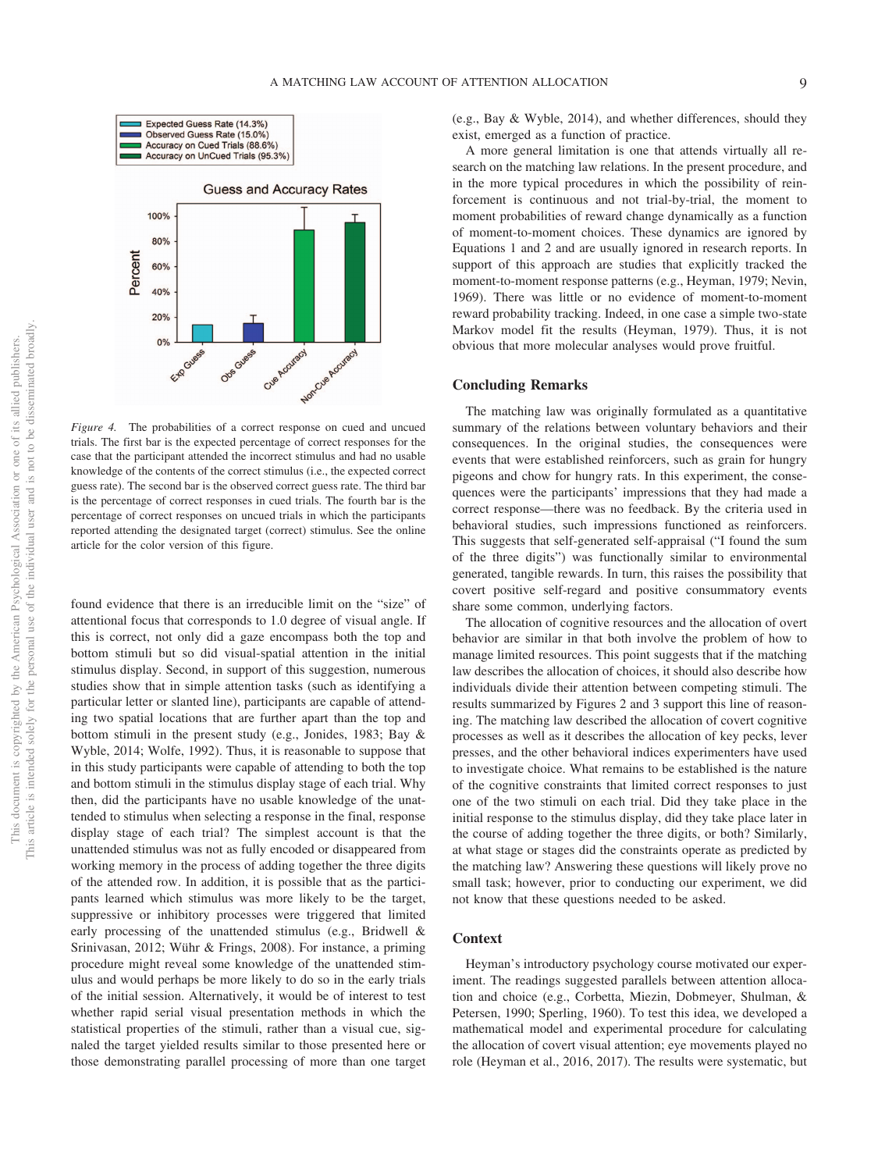

*Figure 4.* The probabilities of a correct response on cued and uncued trials. The first bar is the expected percentage of correct responses for the case that the participant attended the incorrect stimulus and had no usable knowledge of the contents of the correct stimulus (i.e., the expected correct guess rate). The second bar is the observed correct guess rate. The third bar is the percentage of correct responses in cued trials. The fourth bar is the percentage of correct responses on uncued trials in which the participants reported attending the designated target (correct) stimulus. See the online article for the color version of this figure.

found evidence that there is an irreducible limit on the "size" of attentional focus that corresponds to 1.0 degree of visual angle. If this is correct, not only did a gaze encompass both the top and bottom stimuli but so did visual-spatial attention in the initial stimulus display. Second, in support of this suggestion, numerous studies show that in simple attention tasks (such as identifying a particular letter or slanted line), participants are capable of attending two spatial locations that are further apart than the top and bottom stimuli in the present study (e.g., Jonides, 1983; Bay & Wyble, 2014; Wolfe, 1992). Thus, it is reasonable to suppose that in this study participants were capable of attending to both the top and bottom stimuli in the stimulus display stage of each trial. Why then, did the participants have no usable knowledge of the unattended to stimulus when selecting a response in the final, response display stage of each trial? The simplest account is that the unattended stimulus was not as fully encoded or disappeared from working memory in the process of adding together the three digits of the attended row. In addition, it is possible that as the participants learned which stimulus was more likely to be the target, suppressive or inhibitory processes were triggered that limited early processing of the unattended stimulus (e.g., [Bridwell &](#page-9-1) [Srinivasan, 2012;](#page-9-1) Wühr & Frings, 2008). For instance, a priming procedure might reveal some knowledge of the unattended stimulus and would perhaps be more likely to do so in the early trials of the initial session. Alternatively, it would be of interest to test whether rapid serial visual presentation methods in which the statistical properties of the stimuli, rather than a visual cue, signaled the target yielded results similar to those presented here or those demonstrating parallel processing of more than one target

(e.g., Bay & Wyble, 2014), and whether differences, should they exist, emerged as a function of practice.

A more general limitation is one that attends virtually all research on the matching law relations. In the present procedure, and in the more typical procedures in which the possibility of reinforcement is continuous and not trial-by-trial, the moment to moment probabilities of reward change dynamically as a function of moment-to-moment choices. These dynamics are ignored by [Equations 1](#page-0-0) and [2](#page-2-0) and are usually ignored in research reports. In support of this approach are studies that explicitly tracked the moment-to-moment response patterns (e.g., Heyman, 1979; Nevin, 1969). There was little or no evidence of moment-to-moment reward probability tracking. Indeed, in one case a simple two-state Markov model fit the results (Heyman, 1979). Thus, it is not obvious that more molecular analyses would prove fruitful.

#### **Concluding Remarks**

The matching law was originally formulated as a quantitative summary of the relations between voluntary behaviors and their consequences. In the original studies, the consequences were events that were established reinforcers, such as grain for hungry pigeons and chow for hungry rats. In this experiment, the consequences were the participants' impressions that they had made a correct response—there was no feedback. By the criteria used in behavioral studies, such impressions functioned as reinforcers. This suggests that self-generated self-appraisal ("I found the sum of the three digits") was functionally similar to environmental generated, tangible rewards. In turn, this raises the possibility that covert positive self-regard and positive consummatory events share some common, underlying factors.

The allocation of cognitive resources and the allocation of overt behavior are similar in that both involve the problem of how to manage limited resources. This point suggests that if the matching law describes the allocation of choices, it should also describe how individuals divide their attention between competing stimuli. The results summarized by Figures 2 and 3 support this line of reasoning. The matching law described the allocation of covert cognitive processes as well as it describes the allocation of key pecks, lever presses, and the other behavioral indices experimenters have used to investigate choice. What remains to be established is the nature of the cognitive constraints that limited correct responses to just one of the two stimuli on each trial. Did they take place in the initial response to the stimulus display, did they take place later in the course of adding together the three digits, or both? Similarly, at what stage or stages did the constraints operate as predicted by the matching law? Answering these questions will likely prove no small task; however, prior to conducting our experiment, we did not know that these questions needed to be asked.

# **Context**

Heyman's introductory psychology course motivated our experiment. The readings suggested parallels between attention allocation and choice (e.g., [Corbetta, Miezin, Dobmeyer, Shulman, &](#page-9-2) [Petersen, 1990;](#page-9-2) Sperling, 1960). To test this idea, we developed a mathematical model and experimental procedure for calculating the allocation of covert visual attention; eye movements played no role (Heyman et al., 2016, 2017). The results were systematic, but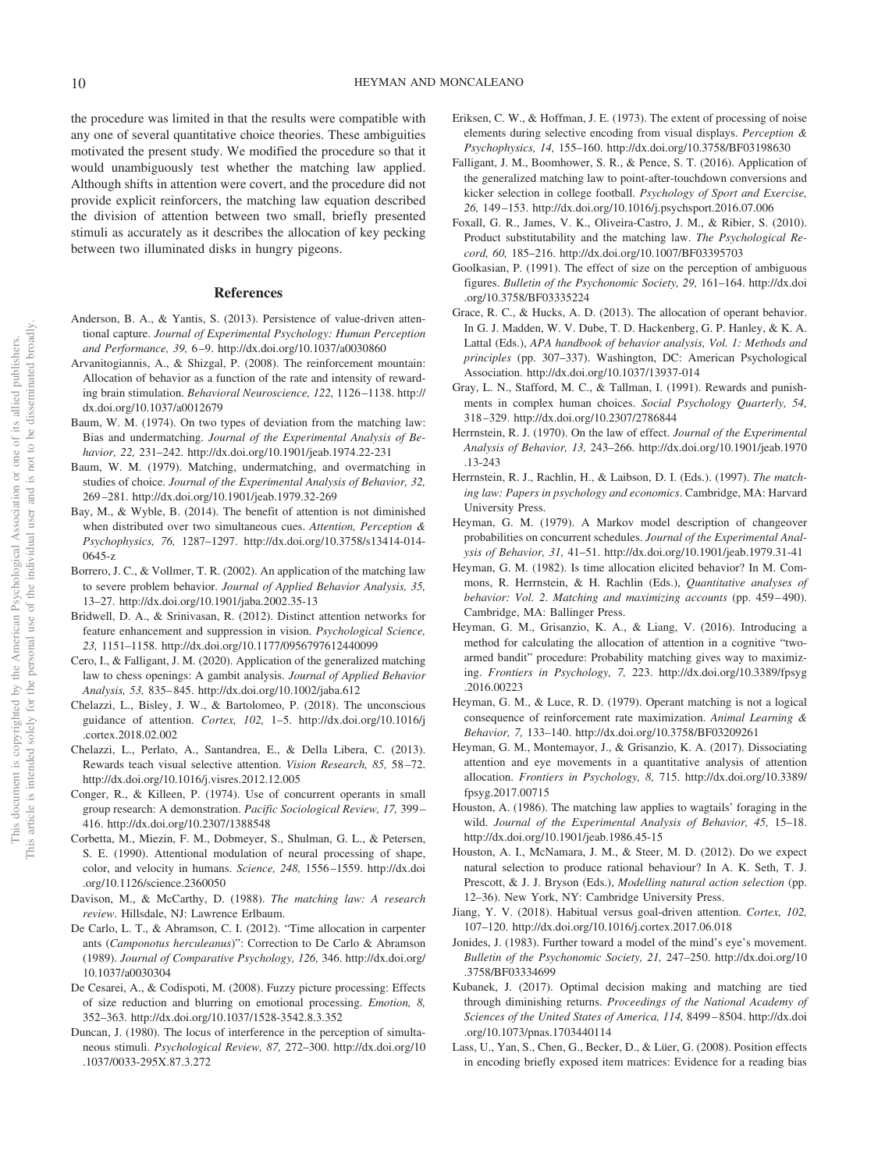the procedure was limited in that the results were compatible with any one of several quantitative choice theories. These ambiguities motivated the present study. We modified the procedure so that it would unambiguously test whether the matching law applied. Although shifts in attention were covert, and the procedure did not provide explicit reinforcers, the matching law equation described the division of attention between two small, briefly presented stimuli as accurately as it describes the allocation of key pecking between two illuminated disks in hungry pigeons.

## **References**

- Anderson, B. A., & Yantis, S. (2013). Persistence of value-driven attentional capture. *Journal of Experimental Psychology: Human Perception and Performance, 39,* 6–9.<http://dx.doi.org/10.1037/a0030860>
- Arvanitogiannis, A., & Shizgal, P. (2008). The reinforcement mountain: Allocation of behavior as a function of the rate and intensity of rewarding brain stimulation. *Behavioral Neuroscience, 122,* 1126–1138. [http://](http://dx.doi.org/10.1037/a0012679) [dx.doi.org/10.1037/a0012679](http://dx.doi.org/10.1037/a0012679)
- Baum, W. M. (1974). On two types of deviation from the matching law: Bias and undermatching. *Journal of the Experimental Analysis of Behavior, 22,* 231–242.<http://dx.doi.org/10.1901/jeab.1974.22-231>
- Baum, W. M. (1979). Matching, undermatching, and overmatching in studies of choice. *Journal of the Experimental Analysis of Behavior, 32,* 269–281.<http://dx.doi.org/10.1901/jeab.1979.32-269>
- Bay, M., & Wyble, B. (2014). The benefit of attention is not diminished when distributed over two simultaneous cues. *Attention, Perception & Psychophysics, 76,* 1287–1297. [http://dx.doi.org/10.3758/s13414-014-](http://dx.doi.org/10.3758/s13414-014-0645-z) [0645-z](http://dx.doi.org/10.3758/s13414-014-0645-z)
- Borrero, J. C., & Vollmer, T. R. (2002). An application of the matching law to severe problem behavior. *Journal of Applied Behavior Analysis, 35,* 13–27.<http://dx.doi.org/10.1901/jaba.2002.35-13>
- <span id="page-9-1"></span>Bridwell, D. A., & Srinivasan, R. (2012). Distinct attention networks for feature enhancement and suppression in vision. *Psychological Science, 23,* 1151–1158.<http://dx.doi.org/10.1177/0956797612440099>
- Cero, I., & Falligant, J. M. (2020). Application of the generalized matching law to chess openings: A gambit analysis. *Journal of Applied Behavior Analysis, 53,* 835–845.<http://dx.doi.org/10.1002/jaba.612>
- <span id="page-9-0"></span>Chelazzi, L., Bisley, J. W., & Bartolomeo, P. (2018). The unconscious guidance of attention. *Cortex, 102,* 1–5. [http://dx.doi.org/10.1016/j](http://dx.doi.org/10.1016/j.cortex.2018.02.002) [.cortex.2018.02.002](http://dx.doi.org/10.1016/j.cortex.2018.02.002)
- Chelazzi, L., Perlato, A., Santandrea, E., & Della Libera, C. (2013). Rewards teach visual selective attention. *Vision Research, 85,* 58–72. <http://dx.doi.org/10.1016/j.visres.2012.12.005>
- Conger, R., & Killeen, P. (1974). Use of concurrent operants in small group research: A demonstration. *Pacific Sociological Review, 17,* 399– 416.<http://dx.doi.org/10.2307/1388548>
- <span id="page-9-2"></span>Corbetta, M., Miezin, F. M., Dobmeyer, S., Shulman, G. L., & Petersen, S. E. (1990). Attentional modulation of neural processing of shape, color, and velocity in humans. *Science, 248,* 1556–1559. [http://dx.doi](http://dx.doi.org/10.1126/science.2360050) [.org/10.1126/science.2360050](http://dx.doi.org/10.1126/science.2360050)
- Davison, M., & McCarthy, D. (1988). *The matching law: A research review*. Hillsdale, NJ: Lawrence Erlbaum.
- De Carlo, L. T., & Abramson, C. I. (2012). "Time allocation in carpenter ants (*Camponotus herculeanus*)": Correction to De Carlo & Abramson (1989). *Journal of Comparative Psychology, 126,* 346. [http://dx.doi.org/](http://dx.doi.org/10.1037/a0030304) [10.1037/a0030304](http://dx.doi.org/10.1037/a0030304)
- De Cesarei, A., & Codispoti, M. (2008). Fuzzy picture processing: Effects of size reduction and blurring on emotional processing. *Emotion, 8,* 352–363.<http://dx.doi.org/10.1037/1528-3542.8.3.352>
- Duncan, J. (1980). The locus of interference in the perception of simultaneous stimuli. *Psychological Review, 87,* 272–300. [http://dx.doi.org/10](http://dx.doi.org/10.1037/0033-295X.87.3.272) [.1037/0033-295X.87.3.272](http://dx.doi.org/10.1037/0033-295X.87.3.272)
- Eriksen, C. W., & Hoffman, J. E. (1973). The extent of processing of noise elements during selective encoding from visual displays. *Perception & Psychophysics, 14,* 155–160.<http://dx.doi.org/10.3758/BF03198630>
- Falligant, J. M., Boomhower, S. R., & Pence, S. T. (2016). Application of the generalized matching law to point-after-touchdown conversions and kicker selection in college football. *Psychology of Sport and Exercise, 26,* 149–153.<http://dx.doi.org/10.1016/j.psychsport.2016.07.006>
- Foxall, G. R., James, V. K., Oliveira-Castro, J. M., & Ribier, S. (2010). Product substitutability and the matching law. *The Psychological Record, 60,* 185–216.<http://dx.doi.org/10.1007/BF03395703>
- Goolkasian, P. (1991). The effect of size on the perception of ambiguous figures. *Bulletin of the Psychonomic Society, 29,* 161–164. [http://dx.doi](http://dx.doi.org/10.3758/BF03335224) [.org/10.3758/BF03335224](http://dx.doi.org/10.3758/BF03335224)
- Grace, R. C., & Hucks, A. D. (2013). The allocation of operant behavior. In G. J. Madden, W. V. Dube, T. D. Hackenberg, G. P. Hanley, & K. A. Lattal (Eds.), *APA handbook of behavior analysis, Vol. 1: Methods and principles* (pp. 307–337). Washington, DC: American Psychological Association.<http://dx.doi.org/10.1037/13937-014>
- Gray, L. N., Stafford, M. C., & Tallman, I. (1991). Rewards and punishments in complex human choices. *Social Psychology Quarterly, 54,* 318–329.<http://dx.doi.org/10.2307/2786844>
- Herrnstein, R. J. (1970). On the law of effect. *Journal of the Experimental Analysis of Behavior, 13,* 243–266. [http://dx.doi.org/10.1901/jeab.1970](http://dx.doi.org/10.1901/jeab.1970.13-243) [.13-243](http://dx.doi.org/10.1901/jeab.1970.13-243)
- Herrnstein, R. J., Rachlin, H., & Laibson, D. I. (Eds.). (1997). *The matching law: Papers in psychology and economics*. Cambridge, MA: Harvard University Press.
- Heyman, G. M. (1979). A Markov model description of changeover probabilities on concurrent schedules. *Journal of the Experimental Analysis of Behavior, 31,* 41–51.<http://dx.doi.org/10.1901/jeab.1979.31-41>
- Heyman, G. M. (1982). Is time allocation elicited behavior? In M. Commons, R. Herrnstein, & H. Rachlin (Eds.), *Quantitative analyses of behavior: Vol. 2*. *Matching and maximizing accounts* (pp. 459–490). Cambridge, MA: Ballinger Press.
- Heyman, G. M., Grisanzio, K. A., & Liang, V. (2016). Introducing a method for calculating the allocation of attention in a cognitive "twoarmed bandit" procedure: Probability matching gives way to maximizing. *Frontiers in Psychology, 7,* 223. [http://dx.doi.org/10.3389/fpsyg](http://dx.doi.org/10.3389/fpsyg.2016.00223) [.2016.00223](http://dx.doi.org/10.3389/fpsyg.2016.00223)
- Heyman, G. M., & Luce, R. D. (1979). Operant matching is not a logical consequence of reinforcement rate maximization. *Animal Learning & Behavior, 7,* 133–140.<http://dx.doi.org/10.3758/BF03209261>
- Heyman, G. M., Montemayor, J., & Grisanzio, K. A. (2017). Dissociating attention and eye movements in a quantitative analysis of attention allocation. *Frontiers in Psychology, 8,* 715. [http://dx.doi.org/10.3389/](http://dx.doi.org/10.3389/fpsyg.2017.00715) [fpsyg.2017.00715](http://dx.doi.org/10.3389/fpsyg.2017.00715)
- Houston, A. (1986). The matching law applies to wagtails' foraging in the wild. *Journal of the Experimental Analysis of Behavior, 45,* 15–18. <http://dx.doi.org/10.1901/jeab.1986.45-15>
- Houston, A. I., McNamara, J. M., & Steer, M. D. (2012). Do we expect natural selection to produce rational behaviour? In A. K. Seth, T. J. Prescott, & J. J. Bryson (Eds.), *Modelling natural action selection* (pp. 12–36). New York, NY: Cambridge University Press.
- Jiang, Y. V. (2018). Habitual versus goal-driven attention. *Cortex, 102,* 107–120.<http://dx.doi.org/10.1016/j.cortex.2017.06.018>
- Jonides, J. (1983). Further toward a model of the mind's eye's movement. *Bulletin of the Psychonomic Society, 21,* 247–250. [http://dx.doi.org/10](http://dx.doi.org/10.3758/BF03334699) [.3758/BF03334699](http://dx.doi.org/10.3758/BF03334699)
- Kubanek, J. (2017). Optimal decision making and matching are tied through diminishing returns. *Proceedings of the National Academy of Sciences of the United States of America, 114,* 8499–8504. [http://dx.doi](http://dx.doi.org/10.1073/pnas.1703440114) [.org/10.1073/pnas.1703440114](http://dx.doi.org/10.1073/pnas.1703440114)
- Lass, U., Yan, S., Chen, G., Becker, D., & Lüer, G. (2008). Position effects in encoding briefly exposed item matrices: Evidence for a reading bias